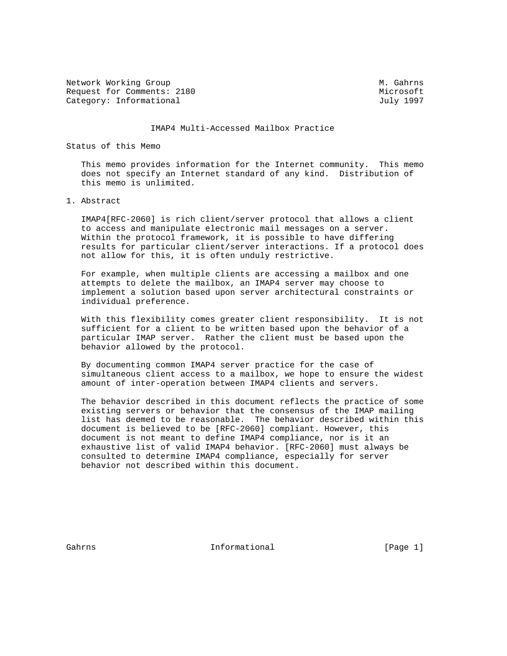Network Working Group Methods and Museum Museum Museum Museum Museum Museum Museum Museum Museum Museum Museum Request for Comments: 2180 Microsoft Category: Informational and Indianal July 1997

#### IMAP4 Multi-Accessed Mailbox Practice

### Status of this Memo

 This memo provides information for the Internet community. This memo does not specify an Internet standard of any kind. Distribution of this memo is unlimited.

## 1. Abstract

 IMAP4[RFC-2060] is rich client/server protocol that allows a client to access and manipulate electronic mail messages on a server. Within the protocol framework, it is possible to have differing results for particular client/server interactions. If a protocol does not allow for this, it is often unduly restrictive.

 For example, when multiple clients are accessing a mailbox and one attempts to delete the mailbox, an IMAP4 server may choose to implement a solution based upon server architectural constraints or individual preference.

 With this flexibility comes greater client responsibility. It is not sufficient for a client to be written based upon the behavior of a particular IMAP server. Rather the client must be based upon the behavior allowed by the protocol.

 By documenting common IMAP4 server practice for the case of simultaneous client access to a mailbox, we hope to ensure the widest amount of inter-operation between IMAP4 clients and servers.

 The behavior described in this document reflects the practice of some existing servers or behavior that the consensus of the IMAP mailing list has deemed to be reasonable. The behavior described within this document is believed to be [RFC-2060] compliant. However, this document is not meant to define IMAP4 compliance, nor is it an exhaustive list of valid IMAP4 behavior. [RFC-2060] must always be consulted to determine IMAP4 compliance, especially for server behavior not described within this document.

Gahrns **Informational Informational** [Page 1]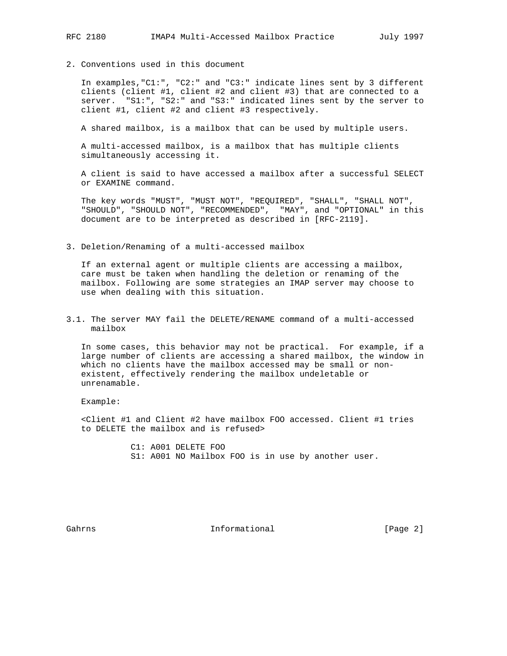2. Conventions used in this document

 In examples,"C1:", "C2:" and "C3:" indicate lines sent by 3 different clients (client #1, client #2 and client #3) that are connected to a server. "S1:", "S2:" and "S3:" indicated lines sent by the server to client #1, client #2 and client #3 respectively.

A shared mailbox, is a mailbox that can be used by multiple users.

 A multi-accessed mailbox, is a mailbox that has multiple clients simultaneously accessing it.

 A client is said to have accessed a mailbox after a successful SELECT or EXAMINE command.

 The key words "MUST", "MUST NOT", "REQUIRED", "SHALL", "SHALL NOT", "SHOULD", "SHOULD NOT", "RECOMMENDED", "MAY", and "OPTIONAL" in this document are to be interpreted as described in [RFC-2119].

3. Deletion/Renaming of a multi-accessed mailbox

 If an external agent or multiple clients are accessing a mailbox, care must be taken when handling the deletion or renaming of the mailbox. Following are some strategies an IMAP server may choose to use when dealing with this situation.

3.1. The server MAY fail the DELETE/RENAME command of a multi-accessed mailbox

 In some cases, this behavior may not be practical. For example, if a large number of clients are accessing a shared mailbox, the window in which no clients have the mailbox accessed may be small or non existent, effectively rendering the mailbox undeletable or unrenamable.

Example:

 <Client #1 and Client #2 have mailbox FOO accessed. Client #1 tries to DELETE the mailbox and is refused>

> C1: A001 DELETE FOO S1: A001 NO Mailbox FOO is in use by another user.

Gahrns **Informational Informational** [Page 2]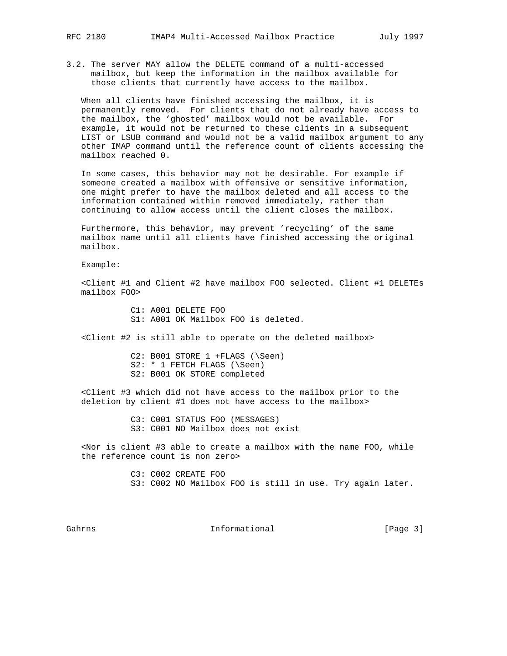3.2. The server MAY allow the DELETE command of a multi-accessed mailbox, but keep the information in the mailbox available for those clients that currently have access to the mailbox.

 When all clients have finished accessing the mailbox, it is permanently removed. For clients that do not already have access to the mailbox, the 'ghosted' mailbox would not be available. For example, it would not be returned to these clients in a subsequent LIST or LSUB command and would not be a valid mailbox argument to any other IMAP command until the reference count of clients accessing the mailbox reached 0.

 In some cases, this behavior may not be desirable. For example if someone created a mailbox with offensive or sensitive information, one might prefer to have the mailbox deleted and all access to the information contained within removed immediately, rather than continuing to allow access until the client closes the mailbox.

 Furthermore, this behavior, may prevent 'recycling' of the same mailbox name until all clients have finished accessing the original mailbox.

Example:

 <Client #1 and Client #2 have mailbox FOO selected. Client #1 DELETEs mailbox FOO>

> C1: A001 DELETE FOO S1: A001 OK Mailbox FOO is deleted.

<Client #2 is still able to operate on the deleted mailbox>

 C2: B001 STORE 1 +FLAGS (\Seen) S2: \* 1 FETCH FLAGS (\Seen) S2: B001 OK STORE completed

 <Client #3 which did not have access to the mailbox prior to the deletion by client #1 does not have access to the mailbox>

> C3: C001 STATUS FOO (MESSAGES) S3: C001 NO Mailbox does not exist

 <Nor is client #3 able to create a mailbox with the name FOO, while the reference count is non zero>

> C3: C002 CREATE FOO S3: C002 NO Mailbox FOO is still in use. Try again later.

Gahrns **Informational Informational Informational** [Page 3]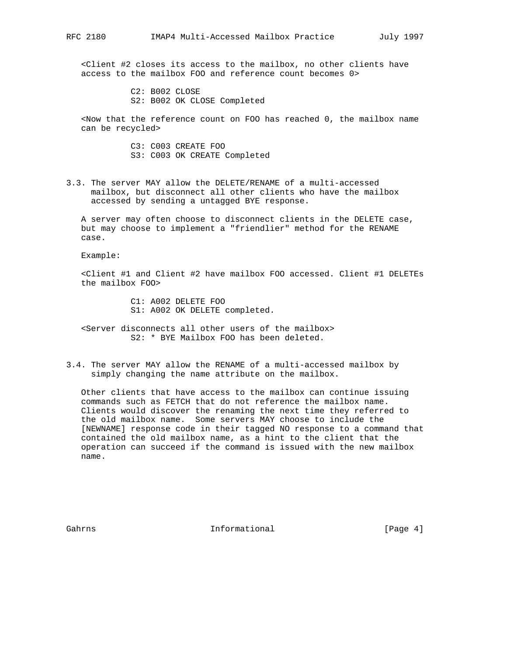<Client #2 closes its access to the mailbox, no other clients have access to the mailbox FOO and reference count becomes 0>

> C2: B002 CLOSE S2: B002 OK CLOSE Completed

 <Now that the reference count on FOO has reached 0, the mailbox name can be recycled>

> C3: C003 CREATE FOO S3: C003 OK CREATE Completed

3.3. The server MAY allow the DELETE/RENAME of a multi-accessed mailbox, but disconnect all other clients who have the mailbox accessed by sending a untagged BYE response.

 A server may often choose to disconnect clients in the DELETE case, but may choose to implement a "friendlier" method for the RENAME case.

Example:

 <Client #1 and Client #2 have mailbox FOO accessed. Client #1 DELETEs the mailbox FOO>

> C1: A002 DELETE FOO S1: A002 OK DELETE completed.

 <Server disconnects all other users of the mailbox> S2: \* BYE Mailbox FOO has been deleted.

3.4. The server MAY allow the RENAME of a multi-accessed mailbox by simply changing the name attribute on the mailbox.

 Other clients that have access to the mailbox can continue issuing commands such as FETCH that do not reference the mailbox name. Clients would discover the renaming the next time they referred to the old mailbox name. Some servers MAY choose to include the [NEWNAME] response code in their tagged NO response to a command that contained the old mailbox name, as a hint to the client that the operation can succeed if the command is issued with the new mailbox name.

Gahrns **Informational Informational** [Page 4]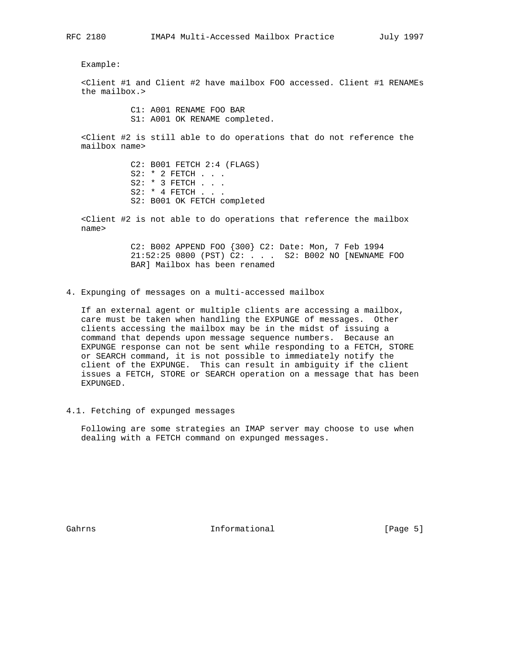Example:

 <Client #1 and Client #2 have mailbox FOO accessed. Client #1 RENAMEs the mailbox.>

> C1: A001 RENAME FOO BAR S1: A001 OK RENAME completed.

 <Client #2 is still able to do operations that do not reference the mailbox name>

> C2: B001 FETCH 2:4 (FLAGS) S2: \* 2 FETCH . . . S2: \* 3 FETCH . . . S2: \* 4 FETCH . . . S2: B001 OK FETCH completed

 <Client #2 is not able to do operations that reference the mailbox name>

> C2: B002 APPEND FOO {300} C2: Date: Mon, 7 Feb 1994 21:52:25 0800 (PST) C2: . . . S2: B002 NO [NEWNAME FOO BAR] Mailbox has been renamed

4. Expunging of messages on a multi-accessed mailbox

 If an external agent or multiple clients are accessing a mailbox, care must be taken when handling the EXPUNGE of messages. Other clients accessing the mailbox may be in the midst of issuing a command that depends upon message sequence numbers. Because an EXPUNGE response can not be sent while responding to a FETCH, STORE or SEARCH command, it is not possible to immediately notify the client of the EXPUNGE. This can result in ambiguity if the client issues a FETCH, STORE or SEARCH operation on a message that has been EXPUNGED.

4.1. Fetching of expunged messages

 Following are some strategies an IMAP server may choose to use when dealing with a FETCH command on expunged messages.

Gahrns **Informational Informational** [Page 5]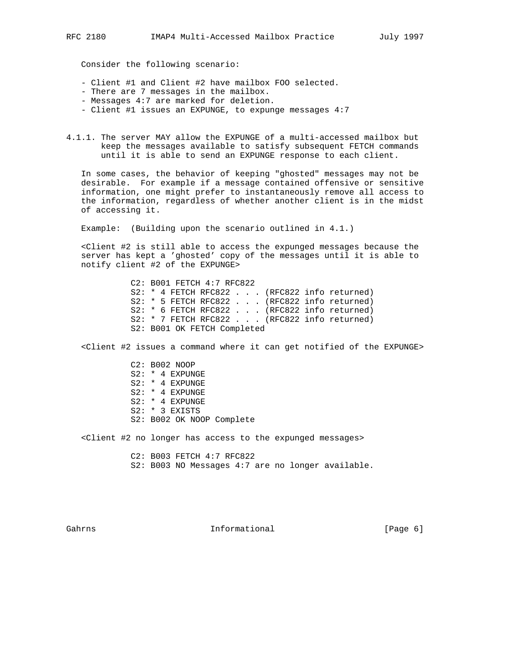Consider the following scenario:

- Client #1 and Client #2 have mailbox FOO selected.
- There are 7 messages in the mailbox.
- Messages 4:7 are marked for deletion.
- Client #1 issues an EXPUNGE, to expunge messages 4:7
- 4.1.1. The server MAY allow the EXPUNGE of a multi-accessed mailbox but keep the messages available to satisfy subsequent FETCH commands until it is able to send an EXPUNGE response to each client.

 In some cases, the behavior of keeping "ghosted" messages may not be desirable. For example if a message contained offensive or sensitive information, one might prefer to instantaneously remove all access to the information, regardless of whether another client is in the midst of accessing it.

Example: (Building upon the scenario outlined in 4.1.)

 <Client #2 is still able to access the expunged messages because the server has kept a 'ghosted' copy of the messages until it is able to notify client #2 of the EXPUNGE>

> C2: B001 FETCH 4:7 RFC822 S2: \* 4 FETCH RFC822 . . . (RFC822 info returned) S2: \* 5 FETCH RFC822 . . . (RFC822 info returned) S2: \* 6 FETCH RFC822 . . . (RFC822 info returned) S2: \* 7 FETCH RFC822 . . . (RFC822 info returned) S2: B001 OK FETCH Completed

<Client #2 issues a command where it can get notified of the EXPUNGE>

 C2: B002 NOOP S2: \* 4 EXPUNGE S2: \* 4 EXPUNGE S2: \* 4 EXPUNGE S2: \* 4 EXPUNGE S2: \* 3 EXISTS S2: B002 OK NOOP Complete

<Client #2 no longer has access to the expunged messages>

 C2: B003 FETCH 4:7 RFC822 S2: B003 NO Messages 4:7 are no longer available.

Gahrns **Informational Informational** [Page 6]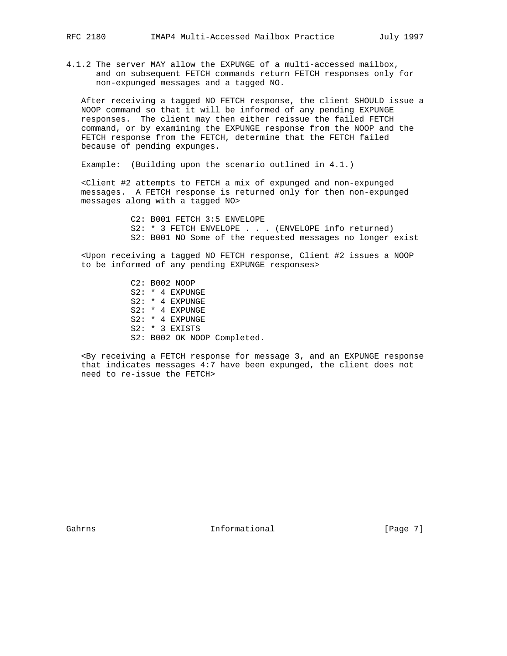4.1.2 The server MAY allow the EXPUNGE of a multi-accessed mailbox, and on subsequent FETCH commands return FETCH responses only for non-expunged messages and a tagged NO.

 After receiving a tagged NO FETCH response, the client SHOULD issue a NOOP command so that it will be informed of any pending EXPUNGE responses. The client may then either reissue the failed FETCH command, or by examining the EXPUNGE response from the NOOP and the FETCH response from the FETCH, determine that the FETCH failed because of pending expunges.

Example: (Building upon the scenario outlined in 4.1.)

 <Client #2 attempts to FETCH a mix of expunged and non-expunged messages. A FETCH response is returned only for then non-expunged messages along with a tagged NO>

> C2: B001 FETCH 3:5 ENVELOPE S2: \* 3 FETCH ENVELOPE . . . (ENVELOPE info returned) S2: B001 NO Some of the requested messages no longer exist

 <Upon receiving a tagged NO FETCH response, Client #2 issues a NOOP to be informed of any pending EXPUNGE responses>

> C2: B002 NOOP S2: \* 4 EXPUNGE S2: \* 4 EXPUNGE S2: \* 4 EXPUNGE S2: \* 4 EXPUNGE S2: \* 3 EXISTS S2: B002 OK NOOP Completed.

 <By receiving a FETCH response for message 3, and an EXPUNGE response that indicates messages 4:7 have been expunged, the client does not need to re-issue the FETCH>

Gahrns **Informational Informational** [Page 7]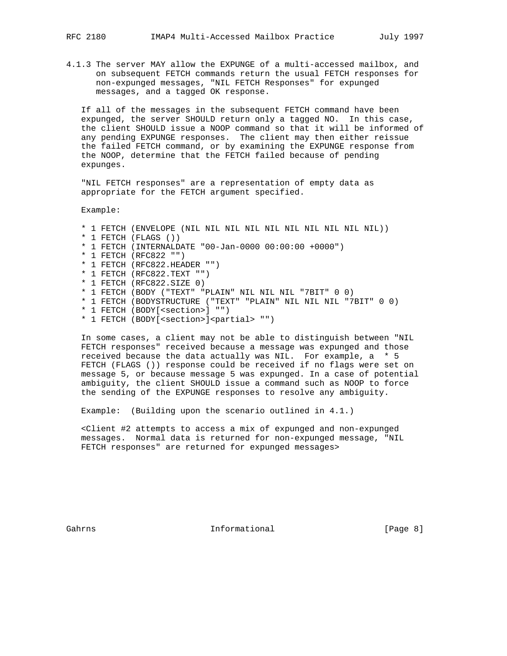4.1.3 The server MAY allow the EXPUNGE of a multi-accessed mailbox, and on subsequent FETCH commands return the usual FETCH responses for non-expunged messages, "NIL FETCH Responses" for expunged messages, and a tagged OK response.

 If all of the messages in the subsequent FETCH command have been expunged, the server SHOULD return only a tagged NO. In this case, the client SHOULD issue a NOOP command so that it will be informed of any pending EXPUNGE responses. The client may then either reissue the failed FETCH command, or by examining the EXPUNGE response from the NOOP, determine that the FETCH failed because of pending expunges.

 "NIL FETCH responses" are a representation of empty data as appropriate for the FETCH argument specified.

Example:

 \* 1 FETCH (ENVELOPE (NIL NIL NIL NIL NIL NIL NIL NIL NIL NIL)) \* 1 FETCH (FLAGS ()) \* 1 FETCH (INTERNALDATE "00-Jan-0000 00:00:00 +0000") \* 1 FETCH (RFC822 "") \* 1 FETCH (RFC822.HEADER "") \* 1 FETCH (RFC822.TEXT "") \* 1 FETCH (RFC822.SIZE 0) \* 1 FETCH (BODY ("TEXT" "PLAIN" NIL NIL NIL "7BIT" 0 0) \* 1 FETCH (BODYSTRUCTURE ("TEXT" "PLAIN" NIL NIL NIL "7BIT" 0 0) \* 1 FETCH (BODY[<section>] "") \* 1 FETCH (BODY[<section>]<partial> "")

 In some cases, a client may not be able to distinguish between "NIL FETCH responses" received because a message was expunged and those received because the data actually was NIL. For example, a \* 5 FETCH (FLAGS ()) response could be received if no flags were set on message 5, or because message 5 was expunged. In a case of potential ambiguity, the client SHOULD issue a command such as NOOP to force the sending of the EXPUNGE responses to resolve any ambiguity.

Example: (Building upon the scenario outlined in 4.1.)

 <Client #2 attempts to access a mix of expunged and non-expunged messages. Normal data is returned for non-expunged message, "NIL FETCH responses" are returned for expunged messages>

Gahrns **Informational Informational** [Page 8]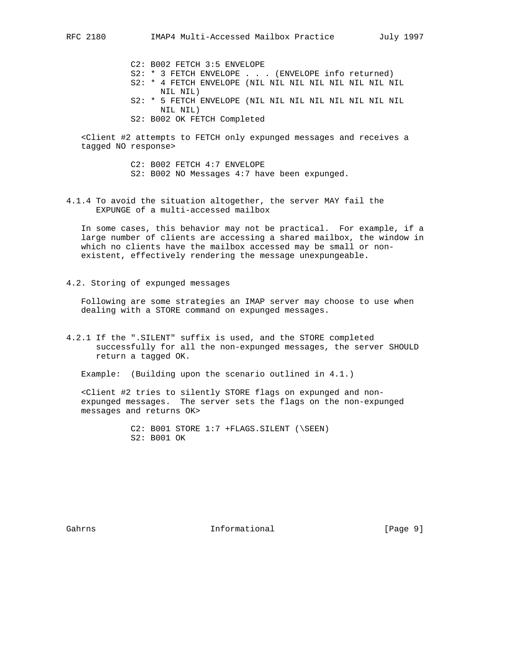- C2: B002 FETCH 3:5 ENVELOPE
- S2: \* 3 FETCH ENVELOPE . . . (ENVELOPE info returned)
- S2: \* 4 FETCH ENVELOPE (NIL NIL NIL NIL NIL NIL NIL NIL NIL NIL)
- S2: \* 5 FETCH ENVELOPE (NIL NIL NIL NIL NIL NIL NIL NIL NIL NIL)
- S2: B002 OK FETCH Completed

 <Client #2 attempts to FETCH only expunged messages and receives a tagged NO response>

> C2: B002 FETCH 4:7 ENVELOPE S2: B002 NO Messages 4:7 have been expunged.

4.1.4 To avoid the situation altogether, the server MAY fail the EXPUNGE of a multi-accessed mailbox

 In some cases, this behavior may not be practical. For example, if a large number of clients are accessing a shared mailbox, the window in which no clients have the mailbox accessed may be small or non existent, effectively rendering the message unexpungeable.

4.2. Storing of expunged messages

 Following are some strategies an IMAP server may choose to use when dealing with a STORE command on expunged messages.

4.2.1 If the ".SILENT" suffix is used, and the STORE completed successfully for all the non-expunged messages, the server SHOULD return a tagged OK.

Example: (Building upon the scenario outlined in 4.1.)

 <Client #2 tries to silently STORE flags on expunged and non expunged messages. The server sets the flags on the non-expunged messages and returns OK>

> C2: B001 STORE 1:7 +FLAGS.SILENT (\SEEN) S2: B001 OK

Gahrns **Informational Informational Informational [Page 9]**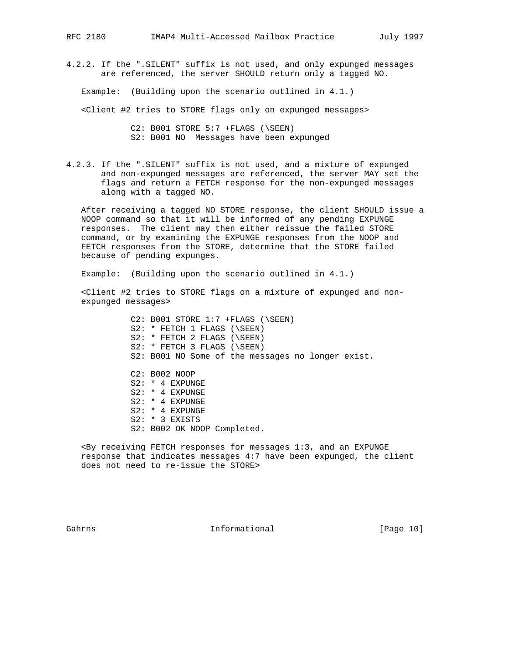4.2.2. If the ".SILENT" suffix is not used, and only expunged messages are referenced, the server SHOULD return only a tagged NO.

Example: (Building upon the scenario outlined in 4.1.)

<Client #2 tries to STORE flags only on expunged messages>

 C2: B001 STORE 5:7 +FLAGS (\SEEN) S2: B001 NO Messages have been expunged

4.2.3. If the ".SILENT" suffix is not used, and a mixture of expunged and non-expunged messages are referenced, the server MAY set the flags and return a FETCH response for the non-expunged messages along with a tagged NO.

 After receiving a tagged NO STORE response, the client SHOULD issue a NOOP command so that it will be informed of any pending EXPUNGE responses. The client may then either reissue the failed STORE command, or by examining the EXPUNGE responses from the NOOP and FETCH responses from the STORE, determine that the STORE failed because of pending expunges.

Example: (Building upon the scenario outlined in 4.1.)

 <Client #2 tries to STORE flags on a mixture of expunged and non expunged messages>

> C2: B001 STORE 1:7 +FLAGS (\SEEN) S2: \* FETCH 1 FLAGS (\SEEN) S2: \* FETCH 2 FLAGS (\SEEN) S2: \* FETCH 3 FLAGS (\SEEN) S2: B001 NO Some of the messages no longer exist. C2: B002 NOOP S2: \* 4 EXPUNGE S2: \* 4 EXPUNGE S2: \* 4 EXPUNGE S2: \* 4 EXPUNGE S2: \* 3 EXISTS S2: B002 OK NOOP Completed.

 <By receiving FETCH responses for messages 1:3, and an EXPUNGE response that indicates messages 4:7 have been expunged, the client does not need to re-issue the STORE>

Gahrns **Informational Informational** [Page 10]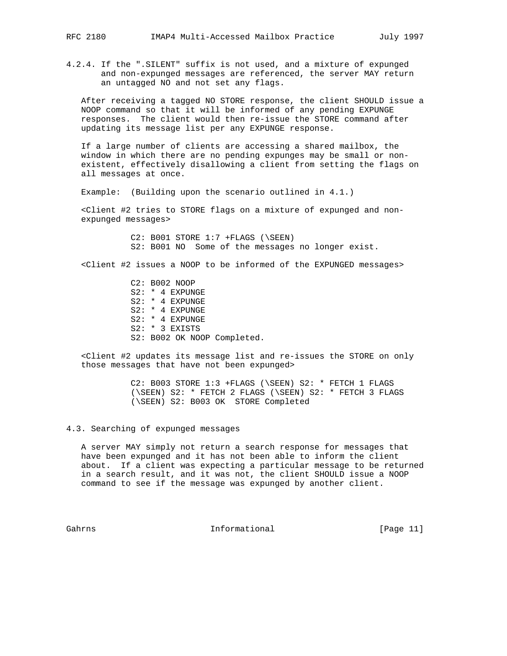4.2.4. If the ".SILENT" suffix is not used, and a mixture of expunged and non-expunged messages are referenced, the server MAY return an untagged NO and not set any flags.

 After receiving a tagged NO STORE response, the client SHOULD issue a NOOP command so that it will be informed of any pending EXPUNGE responses. The client would then re-issue the STORE command after updating its message list per any EXPUNGE response.

 If a large number of clients are accessing a shared mailbox, the window in which there are no pending expunges may be small or non existent, effectively disallowing a client from setting the flags on all messages at once.

Example: (Building upon the scenario outlined in 4.1.)

 <Client #2 tries to STORE flags on a mixture of expunged and non expunged messages>

> C2: B001 STORE 1:7 +FLAGS (\SEEN) S2: B001 NO Some of the messages no longer exist.

<Client #2 issues a NOOP to be informed of the EXPUNGED messages>

 C2: B002 NOOP S2: \* 4 EXPUNGE S2: \* 4 EXPUNGE S2: \* 4 EXPUNGE S2: \* 4 EXPUNGE S2: \* 3 EXISTS S2: B002 OK NOOP Completed.

 <Client #2 updates its message list and re-issues the STORE on only those messages that have not been expunged>

> C2: B003 STORE 1:3 +FLAGS (\SEEN) S2: \* FETCH 1 FLAGS (\SEEN) S2: \* FETCH 2 FLAGS (\SEEN) S2: \* FETCH 3 FLAGS (\SEEN) S2: B003 OK STORE Completed

## 4.3. Searching of expunged messages

 A server MAY simply not return a search response for messages that have been expunged and it has not been able to inform the client about. If a client was expecting a particular message to be returned in a search result, and it was not, the client SHOULD issue a NOOP command to see if the message was expunged by another client.

Gahrns **Informational Informational** [Page 11]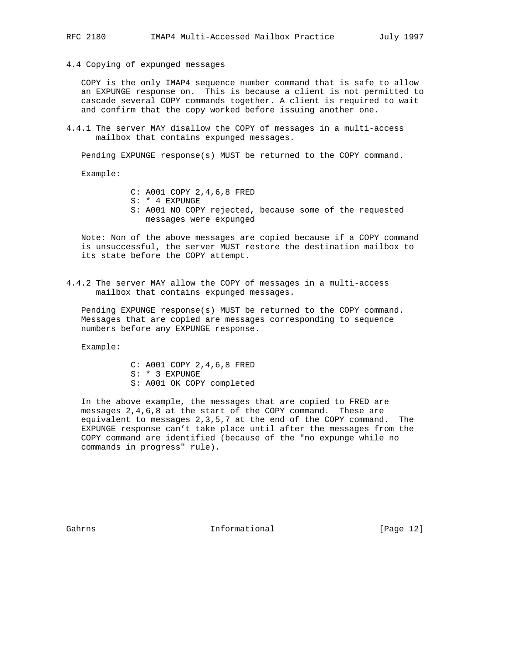4.4 Copying of expunged messages

 COPY is the only IMAP4 sequence number command that is safe to allow an EXPUNGE response on. This is because a client is not permitted to cascade several COPY commands together. A client is required to wait and confirm that the copy worked before issuing another one.

4.4.1 The server MAY disallow the COPY of messages in a multi-access mailbox that contains expunged messages.

Pending EXPUNGE response(s) MUST be returned to the COPY command.

Example:

- C: A001 COPY 2,4,6,8 FRED
- S: \* 4 EXPUNGE
- S: A001 NO COPY rejected, because some of the requested messages were expunged

 Note: Non of the above messages are copied because if a COPY command is unsuccessful, the server MUST restore the destination mailbox to its state before the COPY attempt.

4.4.2 The server MAY allow the COPY of messages in a multi-access mailbox that contains expunged messages.

 Pending EXPUNGE response(s) MUST be returned to the COPY command. Messages that are copied are messages corresponding to sequence numbers before any EXPUNGE response.

Example:

 C: A001 COPY 2,4,6,8 FRED S: \* 3 EXPUNGE S: A001 OK COPY completed

 In the above example, the messages that are copied to FRED are messages 2,4,6,8 at the start of the COPY command. These are equivalent to messages 2,3,5,7 at the end of the COPY command. The EXPUNGE response can't take place until after the messages from the COPY command are identified (because of the "no expunge while no commands in progress" rule).

Gahrns **Informational Informational** [Page 12]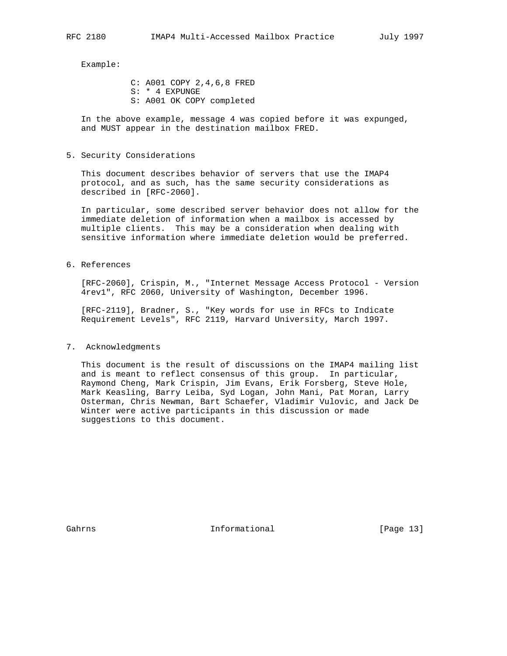Example:

 C: A001 COPY 2,4,6,8 FRED S: \* 4 EXPUNGE S: A001 OK COPY completed

 In the above example, message 4 was copied before it was expunged, and MUST appear in the destination mailbox FRED.

5. Security Considerations

 This document describes behavior of servers that use the IMAP4 protocol, and as such, has the same security considerations as described in [RFC-2060].

 In particular, some described server behavior does not allow for the immediate deletion of information when a mailbox is accessed by multiple clients. This may be a consideration when dealing with sensitive information where immediate deletion would be preferred.

6. References

 [RFC-2060], Crispin, M., "Internet Message Access Protocol - Version 4rev1", RFC 2060, University of Washington, December 1996.

 [RFC-2119], Bradner, S., "Key words for use in RFCs to Indicate Requirement Levels", RFC 2119, Harvard University, March 1997.

#### 7. Acknowledgments

 This document is the result of discussions on the IMAP4 mailing list and is meant to reflect consensus of this group. In particular, Raymond Cheng, Mark Crispin, Jim Evans, Erik Forsberg, Steve Hole, Mark Keasling, Barry Leiba, Syd Logan, John Mani, Pat Moran, Larry Osterman, Chris Newman, Bart Schaefer, Vladimir Vulovic, and Jack De Winter were active participants in this discussion or made suggestions to this document.

Gahrns **Informational Informational** [Page 13]